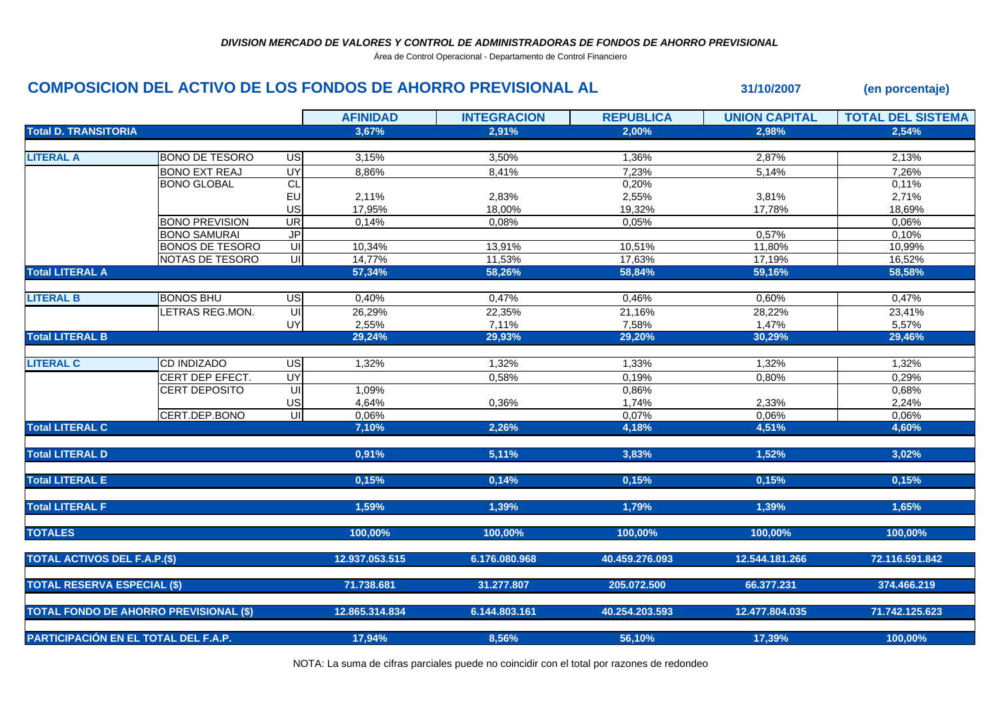Área de Control Operacional - Departamento de Control Financiero

## **COMPOSICION DEL ACTIVO DE LOS FONDOS DE AHORRO PREVISIONAL AL 31/10/2007 (en porcentaje)**

|                                      |                                               |                                    | <b>AFINIDAD</b> | <b>INTEGRACION</b> | <b>REPUBLICA</b> | <b>UNION CAPITAL</b> | <b>TOTAL DEL SISTEMA</b> |
|--------------------------------------|-----------------------------------------------|------------------------------------|-----------------|--------------------|------------------|----------------------|--------------------------|
| <b>Total D. TRANSITORIA</b>          |                                               |                                    | 3,67%           | 2,91%              | 2,00%            | 2,98%                | 2,54%                    |
|                                      |                                               |                                    |                 |                    |                  |                      |                          |
| <b>LITERAL A</b>                     | <b>BONO DE TESORO</b>                         | $\overline{c}$                     | 3,15%           | 3,50%              | 1,36%            | 2,87%                | 2,13%                    |
|                                      | <b>BONO EXT REAJ</b>                          | <b>UY</b>                          | 8,86%           | 8,41%              | 7,23%            | 5,14%                | 7,26%                    |
|                                      | <b>BONO GLOBAL</b>                            | CL                                 |                 |                    | 0,20%            |                      | 0,11%                    |
|                                      |                                               | EU                                 | 2,11%           | 2,83%              | 2,55%            | 3,81%                | 2,71%                    |
|                                      |                                               | US                                 | 17,95%          | 18,00%             | 19,32%           | 17,78%               | 18,69%                   |
|                                      | <b>BONO PREVISION</b>                         | UR                                 | 0,14%           | 0,08%              | 0,05%            |                      | 0,06%                    |
|                                      | <b>BONO SAMURAI</b>                           | $\overline{\mathsf{J} \mathsf{P}}$ |                 |                    |                  | 0,57%                | 0,10%                    |
|                                      | <b>BONOS DE TESORO</b>                        | $\subseteq$                        | 10,34%          | 13,91%             | 10,51%           | 11,80%               | 10,99%                   |
|                                      | NOTAS DE TESORO                               | $\overline{\mathsf{c}}$            | 14,77%          | 11,53%             | 17,63%           | 17,19%               | 16,52%                   |
| <b>Total LITERAL A</b>               |                                               |                                    | 57,34%          | 58,26%             | 58,84%           | 59,16%               | 58,58%                   |
|                                      |                                               |                                    |                 |                    |                  |                      |                          |
| <b>LITERAL B</b>                     | <b>BONOS BHU</b>                              | <b>US</b>                          | 0,40%           | 0,47%              | 0,46%            | 0,60%                | 0,47%                    |
|                                      | LETRAS REG.MON.                               | $\overline{\mathsf{u}}$            | 26,29%          | 22,35%             | 21,16%           | 28,22%               | 23,41%                   |
|                                      |                                               | UY                                 | 2,55%           | 7,11%              | 7,58%            | 1,47%                | 5,57%                    |
| <b>Total LITERAL B</b>               |                                               |                                    | 29,24%          | 29,93%             | 29,20%           | 30,29%               | 29,46%                   |
|                                      |                                               |                                    |                 |                    |                  |                      |                          |
| <b>LITERAL C</b>                     | <b>CD INDIZADO</b>                            | <b>US</b>                          | 1,32%           | 1,32%              | 1,33%            | 1,32%                | 1,32%                    |
|                                      | CERT DEP EFECT.                               | UY                                 |                 | 0,58%              | 0,19%            | 0,80%                | 0,29%                    |
|                                      | CERT DEPOSITO                                 | $\equiv$                           | 1,09%           |                    | 0,86%            |                      | 0,68%                    |
|                                      |                                               | US                                 | 4,64%           | 0,36%              | 1,74%            | 2,33%                | 2,24%                    |
|                                      | CERT.DEP.BONO                                 | S                                  | 0,06%           |                    | 0,07%            | 0,06%                | 0,06%                    |
| <b>Total LITERAL C</b>               |                                               |                                    | 7,10%           | 2,26%              | 4,18%            | 4,51%                | 4,60%                    |
|                                      |                                               |                                    |                 |                    |                  |                      |                          |
| <b>Total LITERAL D</b>               |                                               |                                    | 0,91%           | 5,11%              | 3,83%            | 1,52%                | 3,02%                    |
|                                      |                                               |                                    |                 |                    |                  |                      |                          |
| <b>Total LITERAL E</b>               |                                               |                                    | 0,15%           | 0,14%              | 0,15%            | 0,15%                | 0,15%                    |
|                                      |                                               |                                    |                 |                    |                  |                      |                          |
| <b>Total LITERAL F</b>               |                                               |                                    | 1,59%           | 1,39%              | 1,79%            | 1,39%                | 1,65%                    |
|                                      |                                               |                                    |                 |                    |                  |                      |                          |
| <b>TOTALES</b>                       |                                               |                                    | 100,00%         | 100,00%            | 100,00%          | 100,00%              | 100,00%                  |
|                                      |                                               |                                    |                 |                    |                  |                      |                          |
| <b>TOTAL ACTIVOS DEL F.A.P.(\$)</b>  |                                               |                                    | 12.937.053.515  | 6.176.080.968      | 40.459.276.093   | 12.544.181.266       | 72.116.591.842           |
|                                      |                                               |                                    |                 |                    |                  |                      |                          |
| <b>TOTAL RESERVA ESPECIAL (\$)</b>   |                                               |                                    | 71.738.681      | 31.277.807         | 205.072.500      | 66.377.231           | 374.466.219              |
|                                      |                                               |                                    |                 |                    |                  |                      |                          |
|                                      | <b>TOTAL FONDO DE AHORRO PREVISIONAL (\$)</b> |                                    | 12.865.314.834  | 6.144.803.161      | 40.254.203.593   | 12.477.804.035       | 71.742.125.623           |
|                                      |                                               |                                    |                 |                    |                  |                      |                          |
| PARTICIPACIÓN EN EL TOTAL DEL F.A.P. |                                               |                                    | 17,94%          | 8,56%              | 56,10%           | 17,39%               | 100,00%                  |
|                                      |                                               |                                    |                 |                    |                  |                      |                          |

NOTA: La suma de cifras parciales puede no coincidir con el total por razones de redondeo